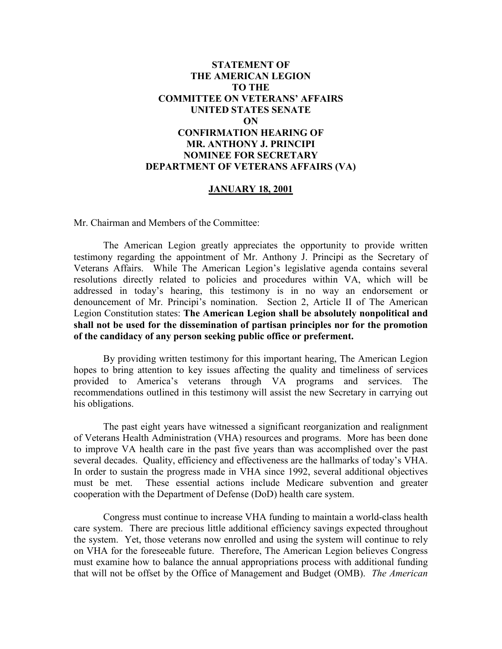# **STATEMENT OF THE AMERICAN LEGION TO THE COMMITTEE ON VETERANS' AFFAIRS UNITED STATES SENATE ON CONFIRMATION HEARING OF MR. ANTHONY J. PRINCIPI NOMINEE FOR SECRETARY DEPARTMENT OF VETERANS AFFAIRS (VA)**

# **JANUARY 18, 2001**

Mr. Chairman and Members of the Committee:

The American Legion greatly appreciates the opportunity to provide written testimony regarding the appointment of Mr. Anthony J. Principi as the Secretary of Veterans Affairs. While The American Legion's legislative agenda contains several resolutions directly related to policies and procedures within VA, which will be addressed in today's hearing, this testimony is in no way an endorsement or denouncement of Mr. Principi's nomination. Section 2, Article II of The American Legion Constitution states: **The American Legion shall be absolutely nonpolitical and shall not be used for the dissemination of partisan principles nor for the promotion of the candidacy of any person seeking public office or preferment.** 

By providing written testimony for this important hearing, The American Legion hopes to bring attention to key issues affecting the quality and timeliness of services provided to America's veterans through VA programs and services. The recommendations outlined in this testimony will assist the new Secretary in carrying out his obligations.

The past eight years have witnessed a significant reorganization and realignment of Veterans Health Administration (VHA) resources and programs. More has been done to improve VA health care in the past five years than was accomplished over the past several decades. Quality, efficiency and effectiveness are the hallmarks of today's VHA. In order to sustain the progress made in VHA since 1992, several additional objectives must be met. These essential actions include Medicare subvention and greater cooperation with the Department of Defense (DoD) health care system.

Congress must continue to increase VHA funding to maintain a world-class health care system. There are precious little additional efficiency savings expected throughout the system. Yet, those veterans now enrolled and using the system will continue to rely on VHA for the foreseeable future. Therefore, The American Legion believes Congress must examine how to balance the annual appropriations process with additional funding that will not be offset by the Office of Management and Budget (OMB). *The American*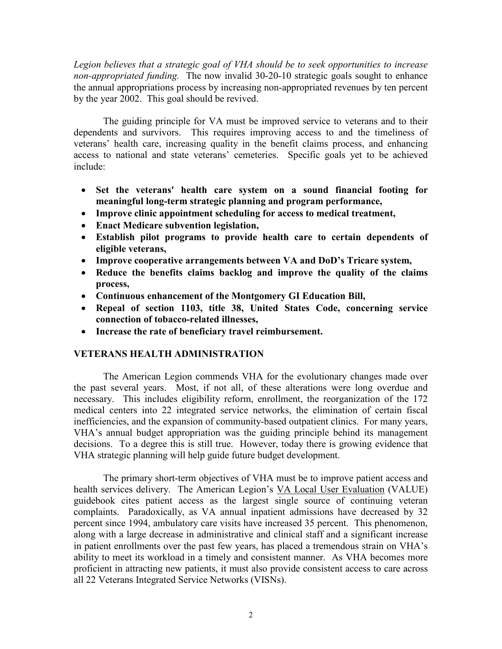*Legion believes that a strategic goal of VHA should be to seek opportunities to increase non-appropriated funding.* The now invalid 30-20-10 strategic goals sought to enhance the annual appropriations process by increasing non-appropriated revenues by ten percent by the year 2002. This goal should be revived.

The guiding principle for VA must be improved service to veterans and to their dependents and survivors. This requires improving access to and the timeliness of veterans' health care, increasing quality in the benefit claims process, and enhancing access to national and state veterans' cemeteries. Specific goals yet to be achieved include:

- **Set the veterans' health care system on a sound financial footing for meaningful long-term strategic planning and program performance,**
- **Improve clinic appointment scheduling for access to medical treatment,**
- **Enact Medicare subvention legislation,**
- **Establish pilot programs to provide health care to certain dependents of eligible veterans,**
- **Improve cooperative arrangements between VA and DoD's Tricare system,**
- **Reduce the benefits claims backlog and improve the quality of the claims process,**
- **Continuous enhancement of the Montgomery GI Education Bill,**
- **Repeal of section 1103, title 38, United States Code, concerning service connection of tobacco-related illnesses,**
- **Increase the rate of beneficiary travel reimbursement.**

# **VETERANS HEALTH ADMINISTRATION**

The American Legion commends VHA for the evolutionary changes made over the past several years. Most, if not all, of these alterations were long overdue and necessary. This includes eligibility reform, enrollment, the reorganization of the 172 medical centers into 22 integrated service networks, the elimination of certain fiscal inefficiencies, and the expansion of community-based outpatient clinics. For many years, VHA's annual budget appropriation was the guiding principle behind its management decisions. To a degree this is still true. However, today there is growing evidence that VHA strategic planning will help guide future budget development.

The primary short-term objectives of VHA must be to improve patient access and health services delivery. The American Legion's VA Local User Evaluation (VALUE) guidebook cites patient access as the largest single source of continuing veteran complaints. Paradoxically, as VA annual inpatient admissions have decreased by 32 percent since 1994, ambulatory care visits have increased 35 percent. This phenomenon, along with a large decrease in administrative and clinical staff and a significant increase in patient enrollments over the past few years, has placed a tremendous strain on VHA's ability to meet its workload in a timely and consistent manner. As VHA becomes more proficient in attracting new patients, it must also provide consistent access to care across all 22 Veterans Integrated Service Networks (VISNs).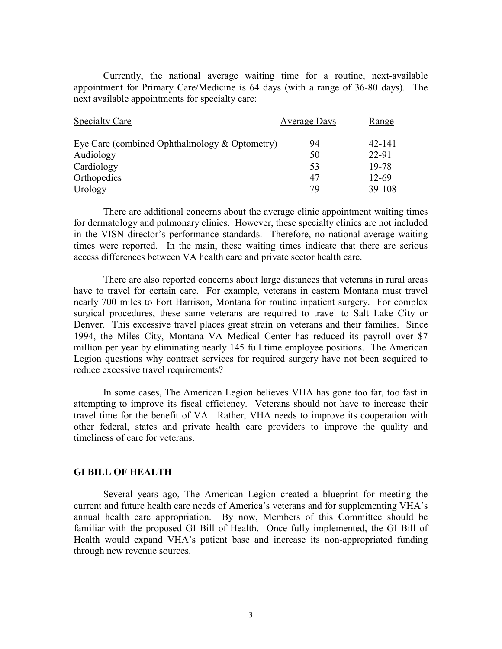Currently, the national average waiting time for a routine, next-available appointment for Primary Care/Medicine is 64 days (with a range of 36-80 days). The next available appointments for specialty care:

| <b>Specialty Care</b>                         | <b>Average Days</b> | <u>Range</u> |
|-----------------------------------------------|---------------------|--------------|
| Eye Care (combined Ophthalmology & Optometry) | 94                  | 42-141       |
| Audiology                                     | 50                  | 22-91        |
| Cardiology                                    | 53                  | 19-78        |
| Orthopedics                                   | 47                  | 12-69        |
| Urology                                       | 79                  | 39-108       |

There are additional concerns about the average clinic appointment waiting times for dermatology and pulmonary clinics. However, these specialty clinics are not included in the VISN director's performance standards. Therefore, no national average waiting times were reported. In the main, these waiting times indicate that there are serious access differences between VA health care and private sector health care.

There are also reported concerns about large distances that veterans in rural areas have to travel for certain care. For example, veterans in eastern Montana must travel nearly 700 miles to Fort Harrison, Montana for routine inpatient surgery. For complex surgical procedures, these same veterans are required to travel to Salt Lake City or Denver. This excessive travel places great strain on veterans and their families. Since 1994, the Miles City, Montana VA Medical Center has reduced its payroll over \$7 million per year by eliminating nearly 145 full time employee positions. The American Legion questions why contract services for required surgery have not been acquired to reduce excessive travel requirements?

In some cases, The American Legion believes VHA has gone too far, too fast in attempting to improve its fiscal efficiency. Veterans should not have to increase their travel time for the benefit of VA. Rather, VHA needs to improve its cooperation with other federal, states and private health care providers to improve the quality and timeliness of care for veterans.

#### **GI BILL OF HEALTH**

Several years ago, The American Legion created a blueprint for meeting the current and future health care needs of America's veterans and for supplementing VHA's annual health care appropriation. By now, Members of this Committee should be familiar with the proposed GI Bill of Health. Once fully implemented, the GI Bill of Health would expand VHA's patient base and increase its non-appropriated funding through new revenue sources.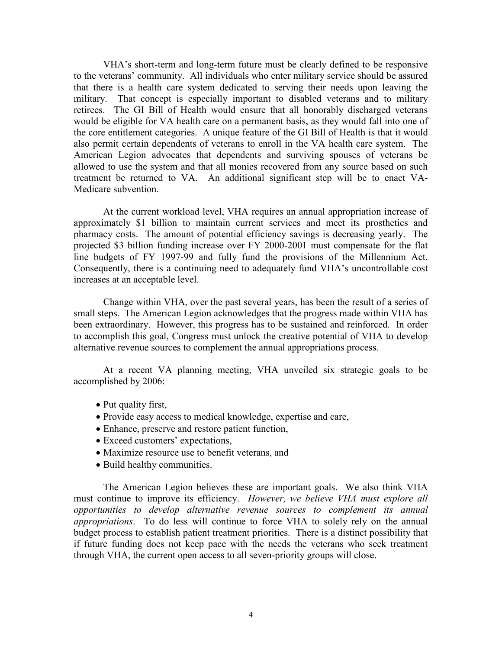VHA's short-term and long-term future must be clearly defined to be responsive to the veterans' community. All individuals who enter military service should be assured that there is a health care system dedicated to serving their needs upon leaving the military. That concept is especially important to disabled veterans and to military retirees. The GI Bill of Health would ensure that all honorably discharged veterans would be eligible for VA health care on a permanent basis, as they would fall into one of the core entitlement categories. A unique feature of the GI Bill of Health is that it would also permit certain dependents of veterans to enroll in the VA health care system. The American Legion advocates that dependents and surviving spouses of veterans be allowed to use the system and that all monies recovered from any source based on such treatment be returned to VA. An additional significant step will be to enact VA-Medicare subvention.

At the current workload level, VHA requires an annual appropriation increase of approximately \$1 billion to maintain current services and meet its prosthetics and pharmacy costs. The amount of potential efficiency savings is decreasing yearly. The projected \$3 billion funding increase over FY 2000-2001 must compensate for the flat line budgets of FY 1997-99 and fully fund the provisions of the Millennium Act. Consequently, there is a continuing need to adequately fund VHA's uncontrollable cost increases at an acceptable level.

Change within VHA, over the past several years, has been the result of a series of small steps. The American Legion acknowledges that the progress made within VHA has been extraordinary. However, this progress has to be sustained and reinforced. In order to accomplish this goal, Congress must unlock the creative potential of VHA to develop alternative revenue sources to complement the annual appropriations process.

At a recent VA planning meeting, VHA unveiled six strategic goals to be accomplished by 2006:

- Put quality first,
- Provide easy access to medical knowledge, expertise and care,
- Enhance, preserve and restore patient function,
- Exceed customers' expectations,
- Maximize resource use to benefit veterans, and
- Build healthy communities.

The American Legion believes these are important goals. We also think VHA must continue to improve its efficiency. *However, we believe VHA must explore all opportunities to develop alternative revenue sources to complement its annual appropriations*. To do less will continue to force VHA to solely rely on the annual budget process to establish patient treatment priorities. There is a distinct possibility that if future funding does not keep pace with the needs the veterans who seek treatment through VHA, the current open access to all seven-priority groups will close.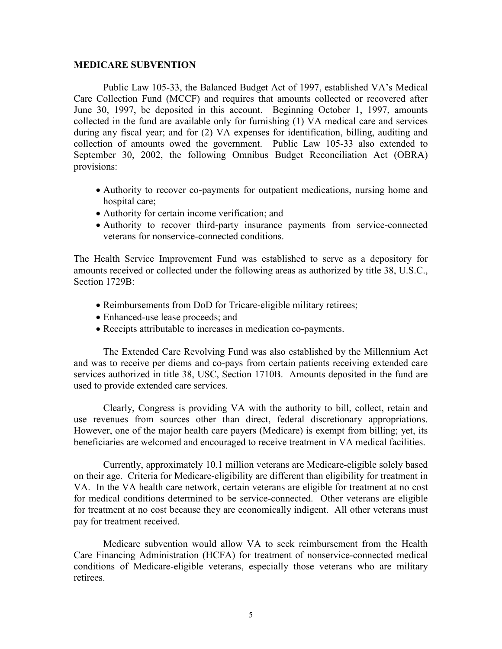### **MEDICARE SUBVENTION**

Public Law 105-33, the Balanced Budget Act of 1997, established VA's Medical Care Collection Fund (MCCF) and requires that amounts collected or recovered after June 30, 1997, be deposited in this account. Beginning October 1, 1997, amounts collected in the fund are available only for furnishing (1) VA medical care and services during any fiscal year; and for (2) VA expenses for identification, billing, auditing and collection of amounts owed the government. Public Law 105-33 also extended to September 30, 2002, the following Omnibus Budget Reconciliation Act (OBRA) provisions:

- Authority to recover co-payments for outpatient medications, nursing home and hospital care;
- Authority for certain income verification; and
- Authority to recover third-party insurance payments from service-connected veterans for nonservice-connected conditions.

The Health Service Improvement Fund was established to serve as a depository for amounts received or collected under the following areas as authorized by title 38, U.S.C., Section 1729B<sup>-</sup>

- Reimbursements from DoD for Tricare-eligible military retirees;
- Enhanced-use lease proceeds; and
- Receipts attributable to increases in medication co-payments.

The Extended Care Revolving Fund was also established by the Millennium Act and was to receive per diems and co-pays from certain patients receiving extended care services authorized in title 38, USC, Section 1710B. Amounts deposited in the fund are used to provide extended care services.

Clearly, Congress is providing VA with the authority to bill, collect, retain and use revenues from sources other than direct, federal discretionary appropriations. However, one of the major health care payers (Medicare) is exempt from billing; yet, its beneficiaries are welcomed and encouraged to receive treatment in VA medical facilities.

Currently, approximately 10.1 million veterans are Medicare-eligible solely based on their age. Criteria for Medicare-eligibility are different than eligibility for treatment in VA. In the VA health care network, certain veterans are eligible for treatment at no cost for medical conditions determined to be service-connected. Other veterans are eligible for treatment at no cost because they are economically indigent. All other veterans must pay for treatment received.

Medicare subvention would allow VA to seek reimbursement from the Health Care Financing Administration (HCFA) for treatment of nonservice-connected medical conditions of Medicare-eligible veterans, especially those veterans who are military retirees.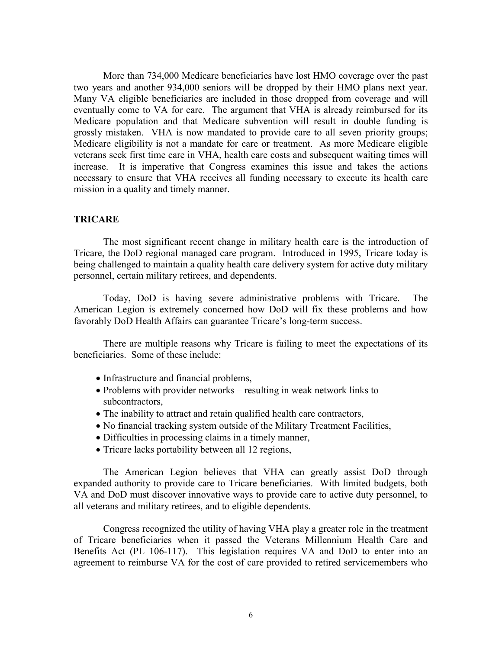More than 734,000 Medicare beneficiaries have lost HMO coverage over the past two years and another 934,000 seniors will be dropped by their HMO plans next year. Many VA eligible beneficiaries are included in those dropped from coverage and will eventually come to VA for care. The argument that VHA is already reimbursed for its Medicare population and that Medicare subvention will result in double funding is grossly mistaken. VHA is now mandated to provide care to all seven priority groups; Medicare eligibility is not a mandate for care or treatment. As more Medicare eligible veterans seek first time care in VHA, health care costs and subsequent waiting times will increase. It is imperative that Congress examines this issue and takes the actions necessary to ensure that VHA receives all funding necessary to execute its health care mission in a quality and timely manner.

### **TRICARE**

The most significant recent change in military health care is the introduction of Tricare, the DoD regional managed care program. Introduced in 1995, Tricare today is being challenged to maintain a quality health care delivery system for active duty military personnel, certain military retirees, and dependents.

Today, DoD is having severe administrative problems with Tricare. The American Legion is extremely concerned how DoD will fix these problems and how favorably DoD Health Affairs can guarantee Tricare's long-term success.

There are multiple reasons why Tricare is failing to meet the expectations of its beneficiaries. Some of these include:

- Infrastructure and financial problems,
- Problems with provider networks resulting in weak network links to subcontractors,
- The inability to attract and retain qualified health care contractors,
- No financial tracking system outside of the Military Treatment Facilities,
- Difficulties in processing claims in a timely manner,
- Tricare lacks portability between all 12 regions,

The American Legion believes that VHA can greatly assist DoD through expanded authority to provide care to Tricare beneficiaries. With limited budgets, both VA and DoD must discover innovative ways to provide care to active duty personnel, to all veterans and military retirees, and to eligible dependents.

Congress recognized the utility of having VHA play a greater role in the treatment of Tricare beneficiaries when it passed the Veterans Millennium Health Care and Benefits Act (PL 106-117). This legislation requires VA and DoD to enter into an agreement to reimburse VA for the cost of care provided to retired servicemembers who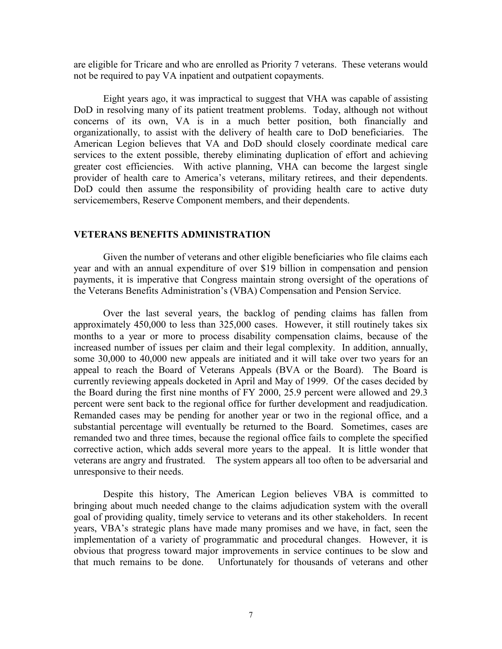are eligible for Tricare and who are enrolled as Priority 7 veterans. These veterans would not be required to pay VA inpatient and outpatient copayments.

Eight years ago, it was impractical to suggest that VHA was capable of assisting DoD in resolving many of its patient treatment problems. Today, although not without concerns of its own, VA is in a much better position, both financially and organizationally, to assist with the delivery of health care to DoD beneficiaries. The American Legion believes that VA and DoD should closely coordinate medical care services to the extent possible, thereby eliminating duplication of effort and achieving greater cost efficiencies. With active planning, VHA can become the largest single provider of health care to America's veterans, military retirees, and their dependents. DoD could then assume the responsibility of providing health care to active duty servicemembers, Reserve Component members, and their dependents.

## **VETERANS BENEFITS ADMINISTRATION**

Given the number of veterans and other eligible beneficiaries who file claims each year and with an annual expenditure of over \$19 billion in compensation and pension payments, it is imperative that Congress maintain strong oversight of the operations of the Veterans Benefits Administration's (VBA) Compensation and Pension Service.

Over the last several years, the backlog of pending claims has fallen from approximately 450,000 to less than 325,000 cases. However, it still routinely takes six months to a year or more to process disability compensation claims, because of the increased number of issues per claim and their legal complexity. In addition, annually, some 30,000 to 40,000 new appeals are initiated and it will take over two years for an appeal to reach the Board of Veterans Appeals (BVA or the Board). The Board is currently reviewing appeals docketed in April and May of 1999. Of the cases decided by the Board during the first nine months of FY 2000, 25.9 percent were allowed and 29.3 percent were sent back to the regional office for further development and readjudication. Remanded cases may be pending for another year or two in the regional office, and a substantial percentage will eventually be returned to the Board. Sometimes, cases are remanded two and three times, because the regional office fails to complete the specified corrective action, which adds several more years to the appeal. It is little wonder that veterans are angry and frustrated. The system appears all too often to be adversarial and unresponsive to their needs.

Despite this history, The American Legion believes VBA is committed to bringing about much needed change to the claims adjudication system with the overall goal of providing quality, timely service to veterans and its other stakeholders. In recent years, VBA's strategic plans have made many promises and we have, in fact, seen the implementation of a variety of programmatic and procedural changes. However, it is obvious that progress toward major improvements in service continues to be slow and that much remains to be done. Unfortunately for thousands of veterans and other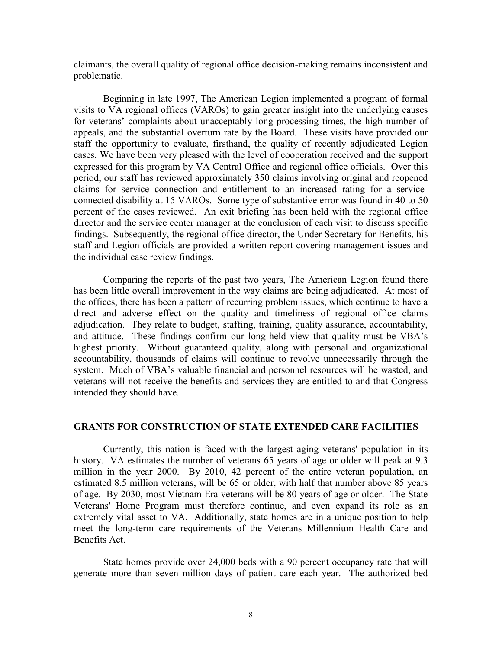claimants, the overall quality of regional office decision-making remains inconsistent and problematic.

Beginning in late 1997, The American Legion implemented a program of formal visits to VA regional offices (VAROs) to gain greater insight into the underlying causes for veterans' complaints about unacceptably long processing times, the high number of appeals, and the substantial overturn rate by the Board. These visits have provided our staff the opportunity to evaluate, firsthand, the quality of recently adjudicated Legion cases. We have been very pleased with the level of cooperation received and the support expressed for this program by VA Central Office and regional office officials. Over this period, our staff has reviewed approximately 350 claims involving original and reopened claims for service connection and entitlement to an increased rating for a serviceconnected disability at 15 VAROs. Some type of substantive error was found in 40 to 50 percent of the cases reviewed. An exit briefing has been held with the regional office director and the service center manager at the conclusion of each visit to discuss specific findings. Subsequently, the regional office director, the Under Secretary for Benefits, his staff and Legion officials are provided a written report covering management issues and the individual case review findings.

Comparing the reports of the past two years, The American Legion found there has been little overall improvement in the way claims are being adjudicated. At most of the offices, there has been a pattern of recurring problem issues, which continue to have a direct and adverse effect on the quality and timeliness of regional office claims adjudication. They relate to budget, staffing, training, quality assurance, accountability, and attitude. These findings confirm our long-held view that quality must be VBA's highest priority. Without guaranteed quality, along with personal and organizational accountability, thousands of claims will continue to revolve unnecessarily through the system. Much of VBA's valuable financial and personnel resources will be wasted, and veterans will not receive the benefits and services they are entitled to and that Congress intended they should have.

#### **GRANTS FOR CONSTRUCTION OF STATE EXTENDED CARE FACILITIES**

Currently, this nation is faced with the largest aging veterans' population in its history. VA estimates the number of veterans 65 years of age or older will peak at 9.3 million in the year 2000. By 2010, 42 percent of the entire veteran population, an estimated 8.5 million veterans, will be 65 or older, with half that number above 85 years of age. By 2030, most Vietnam Era veterans will be 80 years of age or older. The State Veterans' Home Program must therefore continue, and even expand its role as an extremely vital asset to VA. Additionally, state homes are in a unique position to help meet the long-term care requirements of the Veterans Millennium Health Care and Benefits Act.

State homes provide over 24,000 beds with a 90 percent occupancy rate that will generate more than seven million days of patient care each year. The authorized bed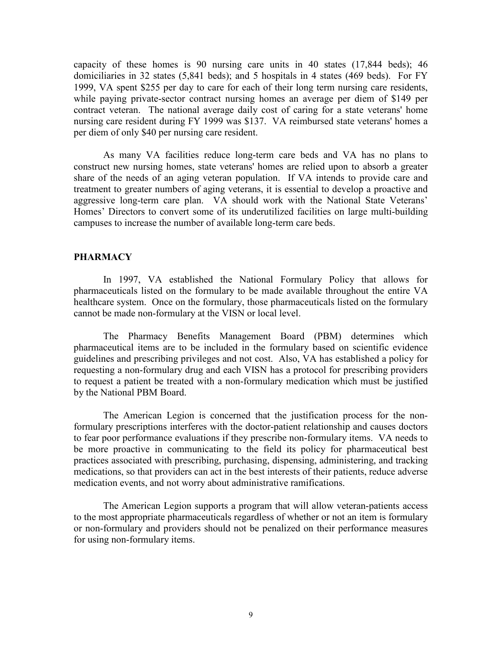capacity of these homes is 90 nursing care units in 40 states (17,844 beds); 46 domiciliaries in 32 states (5,841 beds); and 5 hospitals in 4 states (469 beds). For FY 1999, VA spent \$255 per day to care for each of their long term nursing care residents, while paying private-sector contract nursing homes an average per diem of \$149 per contract veteran. The national average daily cost of caring for a state veterans' home nursing care resident during FY 1999 was \$137. VA reimbursed state veterans' homes a per diem of only \$40 per nursing care resident.

As many VA facilities reduce long-term care beds and VA has no plans to construct new nursing homes, state veterans' homes are relied upon to absorb a greater share of the needs of an aging veteran population. If VA intends to provide care and treatment to greater numbers of aging veterans, it is essential to develop a proactive and aggressive long-term care plan. VA should work with the National State Veterans' Homes' Directors to convert some of its underutilized facilities on large multi-building campuses to increase the number of available long-term care beds.

## **PHARMACY**

In 1997, VA established the National Formulary Policy that allows for pharmaceuticals listed on the formulary to be made available throughout the entire VA healthcare system. Once on the formulary, those pharmaceuticals listed on the formulary cannot be made non-formulary at the VISN or local level.

The Pharmacy Benefits Management Board (PBM) determines which pharmaceutical items are to be included in the formulary based on scientific evidence guidelines and prescribing privileges and not cost. Also, VA has established a policy for requesting a non-formulary drug and each VISN has a protocol for prescribing providers to request a patient be treated with a non-formulary medication which must be justified by the National PBM Board.

The American Legion is concerned that the justification process for the nonformulary prescriptions interferes with the doctor-patient relationship and causes doctors to fear poor performance evaluations if they prescribe non-formulary items. VA needs to be more proactive in communicating to the field its policy for pharmaceutical best practices associated with prescribing, purchasing, dispensing, administering, and tracking medications, so that providers can act in the best interests of their patients, reduce adverse medication events, and not worry about administrative ramifications.

The American Legion supports a program that will allow veteran-patients access to the most appropriate pharmaceuticals regardless of whether or not an item is formulary or non-formulary and providers should not be penalized on their performance measures for using non-formulary items.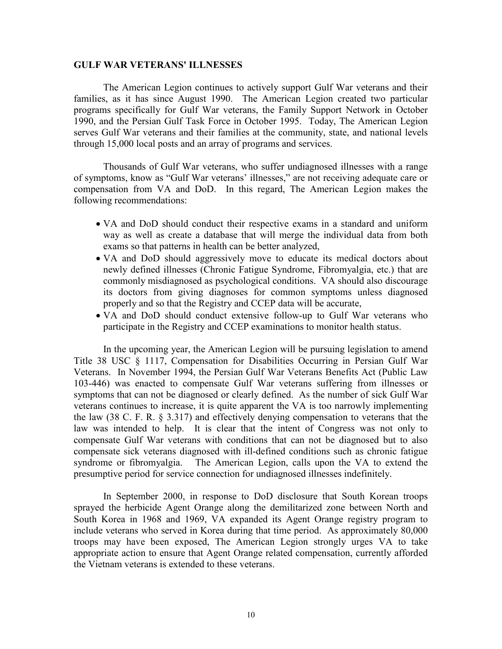### **GULF WAR VETERANS' ILLNESSES**

The American Legion continues to actively support Gulf War veterans and their families, as it has since August 1990. The American Legion created two particular programs specifically for Gulf War veterans, the Family Support Network in October 1990, and the Persian Gulf Task Force in October 1995. Today, The American Legion serves Gulf War veterans and their families at the community, state, and national levels through 15,000 local posts and an array of programs and services.

Thousands of Gulf War veterans, who suffer undiagnosed illnesses with a range of symptoms, know as "Gulf War veterans' illnesses," are not receiving adequate care or compensation from VA and DoD. In this regard, The American Legion makes the following recommendations:

- VA and DoD should conduct their respective exams in a standard and uniform way as well as create a database that will merge the individual data from both exams so that patterns in health can be better analyzed,
- VA and DoD should aggressively move to educate its medical doctors about newly defined illnesses (Chronic Fatigue Syndrome, Fibromyalgia, etc.) that are commonly misdiagnosed as psychological conditions. VA should also discourage its doctors from giving diagnoses for common symptoms unless diagnosed properly and so that the Registry and CCEP data will be accurate,
- VA and DoD should conduct extensive follow-up to Gulf War veterans who participate in the Registry and CCEP examinations to monitor health status.

In the upcoming year, the American Legion will be pursuing legislation to amend Title 38 USC § 1117, Compensation for Disabilities Occurring in Persian Gulf War Veterans. In November 1994, the Persian Gulf War Veterans Benefits Act (Public Law 103-446) was enacted to compensate Gulf War veterans suffering from illnesses or symptoms that can not be diagnosed or clearly defined. As the number of sick Gulf War veterans continues to increase, it is quite apparent the VA is too narrowly implementing the law (38 C. F. R. § 3.317) and effectively denying compensation to veterans that the law was intended to help. It is clear that the intent of Congress was not only to compensate Gulf War veterans with conditions that can not be diagnosed but to also compensate sick veterans diagnosed with ill-defined conditions such as chronic fatigue syndrome or fibromyalgia. The American Legion, calls upon the VA to extend the presumptive period for service connection for undiagnosed illnesses indefinitely.

In September 2000, in response to DoD disclosure that South Korean troops sprayed the herbicide Agent Orange along the demilitarized zone between North and South Korea in 1968 and 1969, VA expanded its Agent Orange registry program to include veterans who served in Korea during that time period. As approximately 80,000 troops may have been exposed, The American Legion strongly urges VA to take appropriate action to ensure that Agent Orange related compensation, currently afforded the Vietnam veterans is extended to these veterans.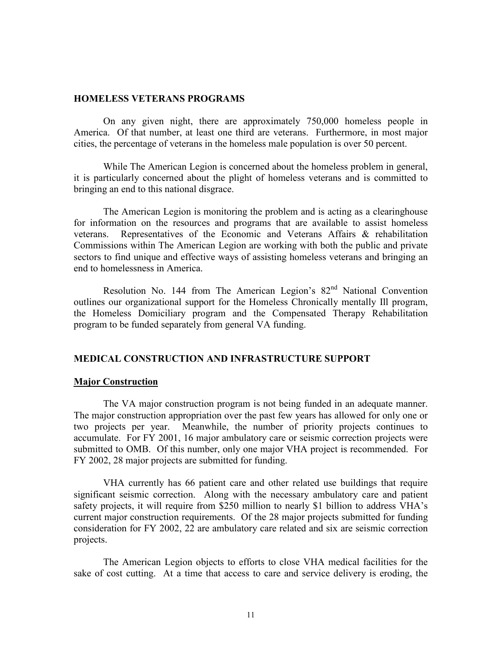### **HOMELESS VETERANS PROGRAMS**

On any given night, there are approximately 750,000 homeless people in America. Of that number, at least one third are veterans. Furthermore, in most major cities, the percentage of veterans in the homeless male population is over 50 percent.

While The American Legion is concerned about the homeless problem in general, it is particularly concerned about the plight of homeless veterans and is committed to bringing an end to this national disgrace.

The American Legion is monitoring the problem and is acting as a clearinghouse for information on the resources and programs that are available to assist homeless veterans. Representatives of the Economic and Veterans Affairs & rehabilitation Commissions within The American Legion are working with both the public and private sectors to find unique and effective ways of assisting homeless veterans and bringing an end to homelessness in America.

Resolution No. 144 from The American Legion's 82<sup>nd</sup> National Convention outlines our organizational support for the Homeless Chronically mentally Ill program, the Homeless Domiciliary program and the Compensated Therapy Rehabilitation program to be funded separately from general VA funding.

## **MEDICAL CONSTRUCTION AND INFRASTRUCTURE SUPPORT**

#### **Major Construction**

The VA major construction program is not being funded in an adequate manner. The major construction appropriation over the past few years has allowed for only one or two projects per year. Meanwhile, the number of priority projects continues to accumulate. For FY 2001, 16 major ambulatory care or seismic correction projects were submitted to OMB. Of this number, only one major VHA project is recommended. For FY 2002, 28 major projects are submitted for funding.

VHA currently has 66 patient care and other related use buildings that require significant seismic correction. Along with the necessary ambulatory care and patient safety projects, it will require from \$250 million to nearly \$1 billion to address VHA's current major construction requirements. Of the 28 major projects submitted for funding consideration for FY 2002, 22 are ambulatory care related and six are seismic correction projects.

The American Legion objects to efforts to close VHA medical facilities for the sake of cost cutting. At a time that access to care and service delivery is eroding, the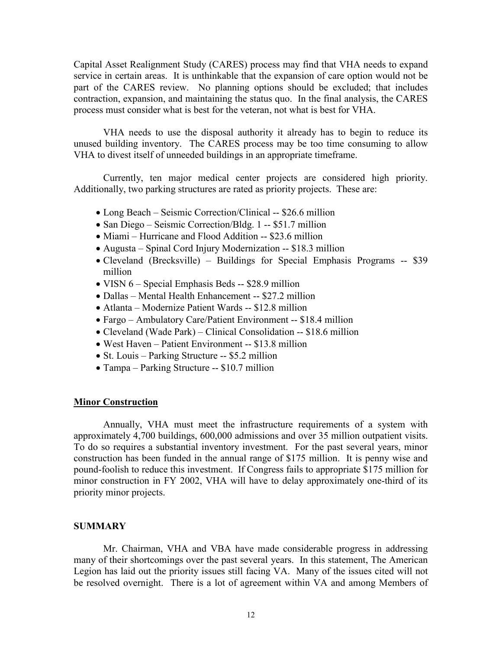Capital Asset Realignment Study (CARES) process may find that VHA needs to expand service in certain areas. It is unthinkable that the expansion of care option would not be part of the CARES review. No planning options should be excluded; that includes contraction, expansion, and maintaining the status quo. In the final analysis, the CARES process must consider what is best for the veteran, not what is best for VHA.

VHA needs to use the disposal authority it already has to begin to reduce its unused building inventory. The CARES process may be too time consuming to allow VHA to divest itself of unneeded buildings in an appropriate timeframe.

Currently, ten major medical center projects are considered high priority. Additionally, two parking structures are rated as priority projects. These are:

- Long Beach Seismic Correction/Clinical -- \$26.6 million
- San Diego Seismic Correction/Bldg. 1 -- \$51.7 million
- Miami Hurricane and Flood Addition -- \$23.6 million
- Augusta Spinal Cord Injury Modernization -- \$18.3 million
- Cleveland (Brecksville) Buildings for Special Emphasis Programs -- \$39 million
- VISN 6 Special Emphasis Beds -- \$28.9 million
- Dallas Mental Health Enhancement -- \$27.2 million
- Atlanta Modernize Patient Wards -- \$12.8 million
- Fargo Ambulatory Care/Patient Environment -- \$18.4 million
- Cleveland (Wade Park) Clinical Consolidation -- \$18.6 million
- West Haven Patient Environment -- \$13.8 million
- St. Louis Parking Structure -- \$5.2 million
- Tampa Parking Structure -- \$10.7 million

### **Minor Construction**

Annually, VHA must meet the infrastructure requirements of a system with approximately 4,700 buildings, 600,000 admissions and over 35 million outpatient visits. To do so requires a substantial inventory investment. For the past several years, minor construction has been funded in the annual range of \$175 million. It is penny wise and pound-foolish to reduce this investment. If Congress fails to appropriate \$175 million for minor construction in FY 2002, VHA will have to delay approximately one-third of its priority minor projects.

### **SUMMARY**

Mr. Chairman, VHA and VBA have made considerable progress in addressing many of their shortcomings over the past several years. In this statement, The American Legion has laid out the priority issues still facing VA. Many of the issues cited will not be resolved overnight. There is a lot of agreement within VA and among Members of